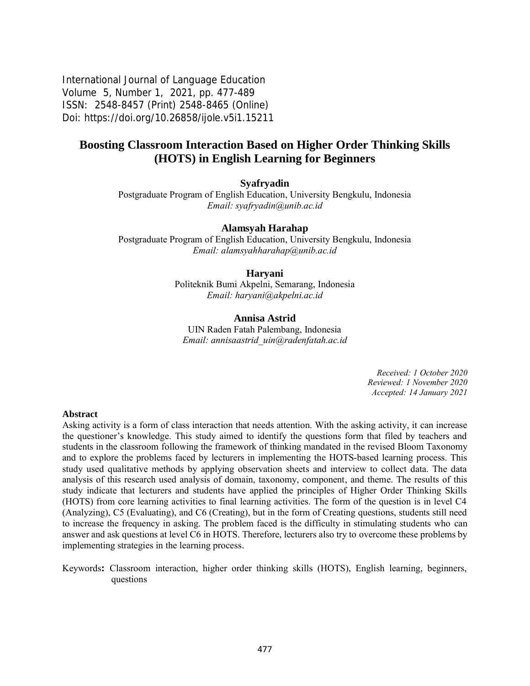International Journal of Language Education Volume 5, Number 1, 2021, pp. 477-489 ISSN: 2548-8457 (Print) 2548-8465 (Online) Doi: <https://doi.org/10.26858/ijole.v5i1.15211>

# **Boosting Classroom Interaction Based on Higher Order Thinking Skills (HOTS) in English Learning for Beginners**

#### **Syafryadin**

Postgraduate Program of English Education, University Bengkulu, Indonesia *Email: [syafryadin@unib.ac.id](mailto:syafryadin@unib.ac.id)*

#### **Alamsyah Harahap**

Postgraduate Program of English Education, University Bengkulu, Indonesia *Email: [alamsyahharahap@unib.ac.id](mailto:alamsyahharahap@unib.ac.id)*

#### **Haryani**

Politeknik Bumi Akpelni, Semarang, Indonesia *Email: [haryani@akpelni.ac.id](mailto:haryani@akpelni.ac.id)*

#### **Annisa Astrid**

UIN Raden Fatah Palembang, Indonesia *Email[: annisaastrid\\_uin@radenfatah.ac.id](mailto:annisaastrid_uin@radenfatah.ac.id)*

> *Received: 1 October 2020 Reviewed: 1 November 2020 Accepted: 14 January 2021*

#### **Abstract**

Asking activity is a form of class interaction that needs attention. With the asking activity, it can increase the questioner's knowledge. This study aimed to identify the questions form that filed by teachers and students in the classroom following the framework of thinking mandated in the revised Bloom Taxonomy and to explore the problems faced by lecturers in implementing the HOTS-based learning process. This study used qualitative methods by applying observation sheets and interview to collect data. The data analysis of this research used analysis of domain, taxonomy, component, and theme. The results of this study indicate that lecturers and students have applied the principles of Higher Order Thinking Skills (HOTS) from core learning activities to final learning activities. The form of the question is in level C4 (Analyzing), C5 (Evaluating), and C6 (Creating), but in the form of Creating questions, students still need to increase the frequency in asking. The problem faced is the difficulty in stimulating students who can answer and ask questions at level C6 in HOTS. Therefore, lecturers also try to overcome these problems by implementing strategies in the learning process.

Keywords**:** Classroom interaction, higher order thinking skills (HOTS), English learning, beginners, questions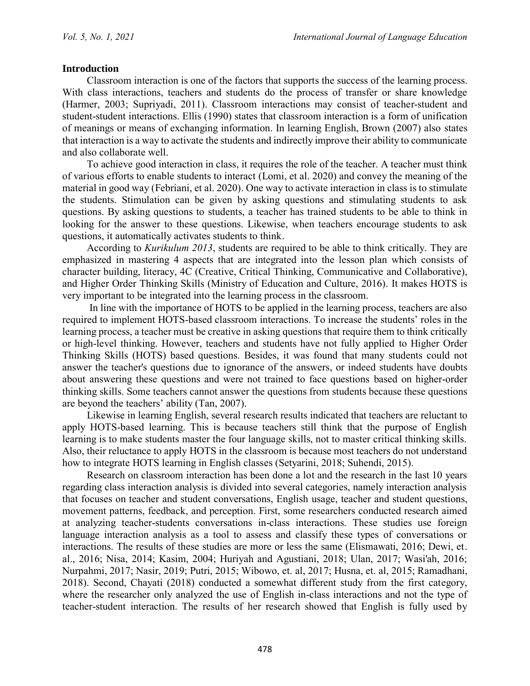#### **Introduction**

Classroom interaction is one of the factors that supports the success of the learning process. With class interactions, teachers and students do the process of transfer or share knowledge (Harmer, 2003; Supriyadi, 2011). Classroom interactions may consist of teacher-student and student-student interactions. Ellis (1990) states that classroom interaction is a form of unification of meanings or means of exchanging information. In learning English, Brown (2007) also states that interaction is a way to activate the students and indirectly improve their ability to communicate and also collaborate well.

To achieve good interaction in class, it requires the role of the teacher. A teacher must think of various efforts to enable students to interact (Lomi, et al. 2020) and convey the meaning of the material in good way (Febriani, et al. 2020). One way to activate interaction in class is to stimulate the students. Stimulation can be given by asking questions and stimulating students to ask questions. By asking questions to students, a teacher has trained students to be able to think in looking for the answer to these questions. Likewise, when teachers encourage students to ask questions, it automatically activates students to think.

According to *Kurikulum 2013*, students are required to be able to think critically. They are emphasized in mastering 4 aspects that are integrated into the lesson plan which consists of character building, literacy, 4C (Creative, Critical Thinking, Communicative and Collaborative), and Higher Order Thinking Skills (Ministry of Education and Culture, 2016). It makes HOTS is very important to be integrated into the learning process in the classroom.

In line with the importance of HOTS to be applied in the learning process, teachers are also required to implement HOTS-based classroom interactions. To increase the students' roles in the learning process, a teacher must be creative in asking questions that require them to think critically or high-level thinking. However, teachers and students have not fully applied to Higher Order Thinking Skills (HOTS) based questions. Besides, it was found that many students could not answer the teacher's questions due to ignorance of the answers, or indeed students have doubts about answering these questions and were not trained to face questions based on higher-order thinking skills. Some teachers cannot answer the questions from students because these questions are beyond the teachers' ability (Tan, 2007).

Likewise in learning English, several research results indicated that teachers are reluctant to apply HOTS-based learning. This is because teachers still think that the purpose of English learning is to make students master the four language skills, not to master critical thinking skills. Also, their reluctance to apply HOTS in the classroom is because most teachers do not understand how to integrate HOTS learning in English classes (Setyarini, 2018; Suhendi, 2015).

Research on classroom interaction has been done a lot and the research in the last 10 years regarding class interaction analysis is divided into several categories, namely interaction analysis that focuses on teacher and student conversations, English usage, teacher and student questions, movement patterns, feedback, and perception. First, some researchers conducted research aimed at analyzing teacher-students conversations in-class interactions. These studies use foreign language interaction analysis as a tool to assess and classify these types of conversations or interactions. The results of these studies are more or less the same (Elismawati, 2016; Dewi, et. al., 2016; Nisa, 2014; Kasim, 2004; Huriyah and Agustiani, 2018; Ulan, 2017; Wasi'ah, 2016; Nurpahmi, 2017; Nasir, 2019; Putri, 2015; Wibowo, et. al, 2017; Husna, et. al, 2015; Ramadhani, 2018). Second, Chayati (2018) conducted a somewhat different study from the first category, where the researcher only analyzed the use of English in-class interactions and not the type of teacher-student interaction. The results of her research showed that English is fully used by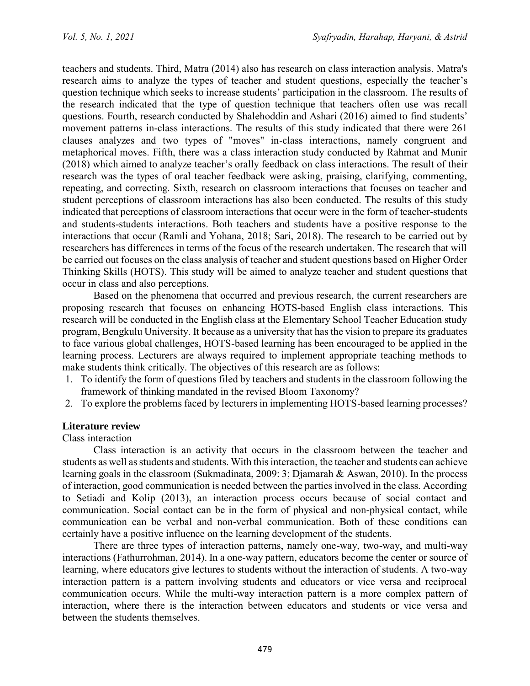teachers and students. Third, Matra (2014) also has research on class interaction analysis. Matra's research aims to analyze the types of teacher and student questions, especially the teacher's question technique which seeks to increase students' participation in the classroom. The results of the research indicated that the type of question technique that teachers often use was recall questions. Fourth, research conducted by Shalehoddin and Ashari (2016) aimed to find students' movement patterns in-class interactions. The results of this study indicated that there were 261 clauses analyzes and two types of "moves" in-class interactions, namely congruent and metaphorical moves. Fifth, there was a class interaction study conducted by Rahmat and Munir (2018) which aimed to analyze teacher's orally feedback on class interactions. The result of their research was the types of oral teacher feedback were asking, praising, clarifying, commenting, repeating, and correcting. Sixth, research on classroom interactions that focuses on teacher and student perceptions of classroom interactions has also been conducted. The results of this study indicated that perceptions of classroom interactions that occur were in the form of teacher-students and students-students interactions. Both teachers and students have a positive response to the interactions that occur (Ramli and Yohana, 2018; Sari, 2018). The research to be carried out by researchers has differences in terms of the focus of the research undertaken. The research that will be carried out focuses on the class analysis of teacher and student questions based on Higher Order Thinking Skills (HOTS). This study will be aimed to analyze teacher and student questions that occur in class and also perceptions.

Based on the phenomena that occurred and previous research, the current researchers are proposing research that focuses on enhancing HOTS-based English class interactions. This research will be conducted in the English class at the Elementary School Teacher Education study program, Bengkulu University. It because as a university that has the vision to prepare its graduates to face various global challenges, HOTS-based learning has been encouraged to be applied in the learning process. Lecturers are always required to implement appropriate teaching methods to make students think critically. The objectives of this research are as follows:

- 1. To identify the form of questions filed by teachers and students in the classroom following the framework of thinking mandated in the revised Bloom Taxonomy?
- 2. To explore the problems faced by lecturers in implementing HOTS-based learning processes?

#### **Literature review**

Class interaction

Class interaction is an activity that occurs in the classroom between the teacher and students as well as students and students. With this interaction, the teacher and students can achieve learning goals in the classroom (Sukmadinata, 2009: 3; Djamarah & Aswan, 2010). In the process of interaction, good communication is needed between the parties involved in the class. According to Setiadi and Kolip (2013), an interaction process occurs because of social contact and communication. Social contact can be in the form of physical and non-physical contact, while communication can be verbal and non-verbal communication. Both of these conditions can certainly have a positive influence on the learning development of the students.

There are three types of interaction patterns, namely one-way, two-way, and multi-way interactions (Fathurrohman, 2014). In a one-way pattern, educators become the center or source of learning, where educators give lectures to students without the interaction of students. A two-way interaction pattern is a pattern involving students and educators or vice versa and reciprocal communication occurs. While the multi-way interaction pattern is a more complex pattern of interaction, where there is the interaction between educators and students or vice versa and between the students themselves.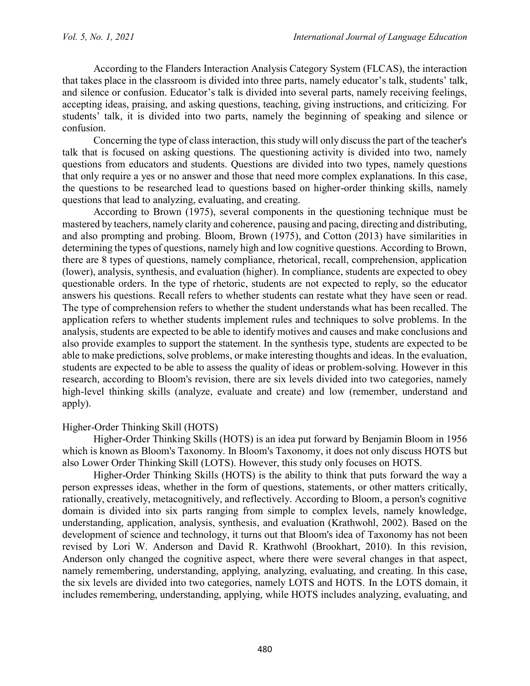According to the Flanders Interaction Analysis Category System (FLCAS), the interaction that takes place in the classroom is divided into three parts, namely educator's talk, students' talk, and silence or confusion. Educator's talk is divided into several parts, namely receiving feelings, accepting ideas, praising, and asking questions, teaching, giving instructions, and criticizing. For students' talk, it is divided into two parts, namely the beginning of speaking and silence or confusion.

Concerning the type of class interaction, this study will only discuss the part of the teacher's talk that is focused on asking questions. The questioning activity is divided into two, namely questions from educators and students. Questions are divided into two types, namely questions that only require a yes or no answer and those that need more complex explanations. In this case, the questions to be researched lead to questions based on higher-order thinking skills, namely questions that lead to analyzing, evaluating, and creating.

According to Brown (1975), several components in the questioning technique must be mastered by teachers, namely clarity and coherence, pausing and pacing, directing and distributing, and also prompting and probing. Bloom, Brown (1975), and Cotton (2013) have similarities in determining the types of questions, namely high and low cognitive questions. According to Brown, there are 8 types of questions, namely compliance, rhetorical, recall, comprehension, application (lower), analysis, synthesis, and evaluation (higher). In compliance, students are expected to obey questionable orders. In the type of rhetoric, students are not expected to reply, so the educator answers his questions. Recall refers to whether students can restate what they have seen or read. The type of comprehension refers to whether the student understands what has been recalled. The application refers to whether students implement rules and techniques to solve problems. In the analysis, students are expected to be able to identify motives and causes and make conclusions and also provide examples to support the statement. In the synthesis type, students are expected to be able to make predictions, solve problems, or make interesting thoughts and ideas. In the evaluation, students are expected to be able to assess the quality of ideas or problem-solving. However in this research, according to Bloom's revision, there are six levels divided into two categories, namely high-level thinking skills (analyze, evaluate and create) and low (remember, understand and apply).

#### Higher-Order Thinking Skill (HOTS)

Higher-Order Thinking Skills (HOTS) is an idea put forward by Benjamin Bloom in 1956 which is known as Bloom's Taxonomy. In Bloom's Taxonomy, it does not only discuss HOTS but also Lower Order Thinking Skill (LOTS). However, this study only focuses on HOTS.

Higher-Order Thinking Skills (HOTS) is the ability to think that puts forward the way a person expresses ideas, whether in the form of questions, statements, or other matters critically, rationally, creatively, metacognitively, and reflectively. According to Bloom, a person's cognitive domain is divided into six parts ranging from simple to complex levels, namely knowledge, understanding, application, analysis, synthesis, and evaluation (Krathwohl, 2002). Based on the development of science and technology, it turns out that Bloom's idea of Taxonomy has not been revised by Lori W. Anderson and David R. Krathwohl (Brookhart, 2010). In this revision, Anderson only changed the cognitive aspect, where there were several changes in that aspect, namely remembering, understanding, applying, analyzing, evaluating, and creating. In this case, the six levels are divided into two categories, namely LOTS and HOTS. In the LOTS domain, it includes remembering, understanding, applying, while HOTS includes analyzing, evaluating, and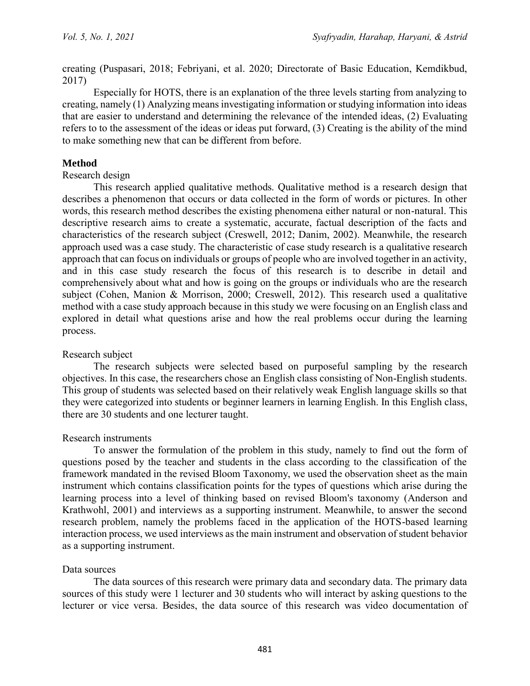creating (Puspasari, 2018; Febriyani, et al. 2020; Directorate of Basic Education, Kemdikbud, 2017)

Especially for HOTS, there is an explanation of the three levels starting from analyzing to creating, namely (1) Analyzing means investigating information or studying information into ideas that are easier to understand and determining the relevance of the intended ideas, (2) Evaluating refers to to the assessment of the ideas or ideas put forward, (3) Creating is the ability of the mind to make something new that can be different from before.

#### **Method**

#### Research design

This research applied qualitative methods. Qualitative method is a research design that describes a phenomenon that occurs or data collected in the form of words or pictures. In other words, this research method describes the existing phenomena either natural or non-natural. This descriptive research aims to create a systematic, accurate, factual description of the facts and characteristics of the research subject (Creswell, 2012; Danim, 2002). Meanwhile, the research approach used was a case study. The characteristic of case study research is a qualitative research approach that can focus on individuals or groups of people who are involved together in an activity, and in this case study research the focus of this research is to describe in detail and comprehensively about what and how is going on the groups or individuals who are the research subject (Cohen, Manion & Morrison, 2000; Creswell, 2012). This research used a qualitative method with a case study approach because in this study we were focusing on an English class and explored in detail what questions arise and how the real problems occur during the learning process.

#### Research subject

The research subjects were selected based on purposeful sampling by the research objectives. In this case, the researchers chose an English class consisting of Non-English students. This group of students was selected based on their relatively weak English language skills so that they were categorized into students or beginner learners in learning English. In this English class, there are 30 students and one lecturer taught.

#### Research instruments

To answer the formulation of the problem in this study, namely to find out the form of questions posed by the teacher and students in the class according to the classification of the framework mandated in the revised Bloom Taxonomy, we used the observation sheet as the main instrument which contains classification points for the types of questions which arise during the learning process into a level of thinking based on revised Bloom's taxonomy (Anderson and Krathwohl, 2001) and interviews as a supporting instrument. Meanwhile, to answer the second research problem, namely the problems faced in the application of the HOTS-based learning interaction process, we used interviews as the main instrument and observation of student behavior as a supporting instrument.

#### Data sources

The data sources of this research were primary data and secondary data. The primary data sources of this study were 1 lecturer and 30 students who will interact by asking questions to the lecturer or vice versa. Besides, the data source of this research was video documentation of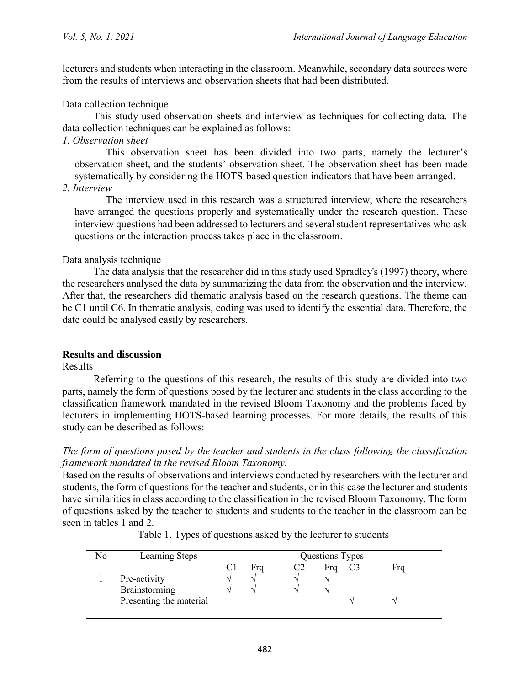lecturers and students when interacting in the classroom. Meanwhile, secondary data sources were from the results of interviews and observation sheets that had been distributed.

# Data collection technique

This study used observation sheets and interview as techniques for collecting data. The data collection techniques can be explained as follows:

### *1. Observation sheet*

This observation sheet has been divided into two parts, namely the lecturer's observation sheet, and the students' observation sheet. The observation sheet has been made systematically by considering the HOTS-based question indicators that have been arranged.

#### *2. Interview*

The interview used in this research was a structured interview, where the researchers have arranged the questions properly and systematically under the research question. These interview questions had been addressed to lecturers and several student representatives who ask questions or the interaction process takes place in the classroom.

# Data analysis technique

The data analysis that the researcher did in this study used Spradley's (1997) theory, where the researchers analysed the data by summarizing the data from the observation and the interview. After that, the researchers did thematic analysis based on the research questions. The theme can be C1 until C6. In thematic analysis, coding was used to identify the essential data. Therefore, the date could be analysed easily by researchers.

#### **Results and discussion**

Results

Referring to the questions of this research, the results of this study are divided into two parts, namely the form of questions posed by the lecturer and students in the class according to the classification framework mandated in the revised Bloom Taxonomy and the problems faced by lecturers in implementing HOTS-based learning processes. For more details, the results of this study can be described as follows:

# *The form of questions posed by the teacher and students in the class following the classification framework mandated in the revised Bloom Taxonomy.*

Based on the results of observations and interviews conducted by researchers with the lecturer and students, the form of questions for the teacher and students, or in this case the lecturer and students have similarities in class according to the classification in the revised Bloom Taxonomy. The form of questions asked by the teacher to students and students to the teacher in the classroom can be seen in tables 1 and 2.

| No<br>Learning Steps    | Questions Types |  |  |  |
|-------------------------|-----------------|--|--|--|
| Fro<br>Fra              |                 |  |  |  |
| Pre-activity            |                 |  |  |  |
| Brainstorming           |                 |  |  |  |
| Presenting the material |                 |  |  |  |

Table 1. Types of questions asked by the lecturer to students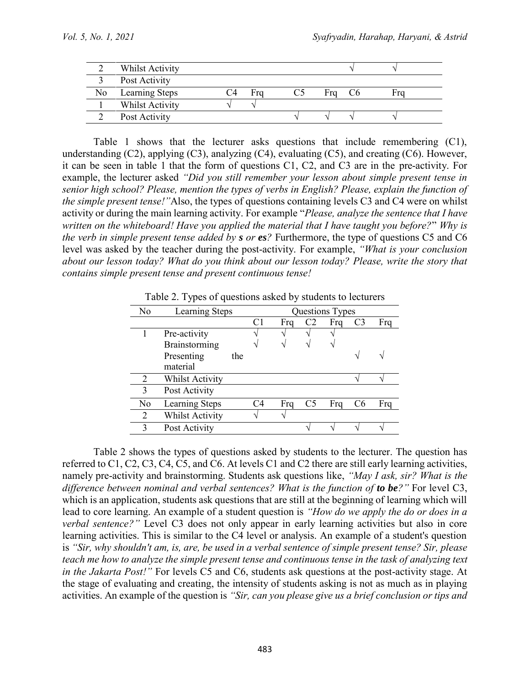| Whilst Activity   |     |     |     |    |     |
|-------------------|-----|-----|-----|----|-----|
| Post Activity     |     |     |     |    |     |
| No Learning Steps | ι∵⊥ | Fra | Fra | €∆ | ⊦ra |
| Whilst Activity   |     |     |     |    |     |
| Post Activity     |     |     |     |    |     |

Table 1 shows that the lecturer asks questions that include remembering (C1), understanding (C2), applying (C3), analyzing (C4), evaluating (C5), and creating (C6). However, it can be seen in table 1 that the form of questions C1, C2, and C3 are in the pre-activity. For example, the lecturer asked *"Did you still remember your lesson about simple present tense in senior high school? Please, mention the types of verbs in English? Please, explain the function of the simple present tense!"*Also, the types of questions containing levels C3 and C4 were on whilst activity or during the main learning activity. For example "*Please, analyze the sentence that I have written on the whiteboard! Have you applied the material that I have taught you before?*" *Why is the verb in simple present tense added by s or es?* Furthermore, the type of questions C5 and C6 level was asked by the teacher during the post-activity. For example, *"What is your conclusion about our lesson today? What do you think about our lesson today? Please, write the story that contains simple present tense and present continuous tense!*

| No             | Learning Steps         |    | Questions Types |    |     |                |     |
|----------------|------------------------|----|-----------------|----|-----|----------------|-----|
|                |                        |    | Frq             | C2 | Fra | C <sub>3</sub> | Frq |
|                | Pre-activity           |    |                 |    |     |                |     |
|                | <b>Brainstorming</b>   |    |                 |    |     |                |     |
|                | Presenting<br>the      |    |                 |    |     |                |     |
|                | material               |    |                 |    |     |                |     |
| 2              | <b>Whilst Activity</b> |    |                 |    |     |                |     |
| 3              | Post Activity          |    |                 |    |     |                |     |
| No             | <b>Learning Steps</b>  | C4 | Frq             | C5 | Fra | C <sub>6</sub> | Frq |
| $\overline{2}$ | <b>Whilst Activity</b> |    |                 |    |     |                |     |
| 3              | Post Activity          |    |                 |    |     |                |     |

Table 2. Types of questions asked by students to lecturers

Table 2 shows the types of questions asked by students to the lecturer. The question has referred to C1, C2, C3, C4, C5, and C6. At levels C1 and C2 there are still early learning activities, namely pre-activity and brainstorming. Students ask questions like, *"May I ask, sir? What is the difference between nominal and verbal sentences? What is the function of to be?" For level C3,* which is an application, students ask questions that are still at the beginning of learning which will lead to core learning. An example of a student question is *"How do we apply the do or does in a verbal sentence?"* Level C3 does not only appear in early learning activities but also in core learning activities. This is similar to the C4 level or analysis. An example of a student's question is *"Sir, why shouldn't am, is, are, be used in a verbal sentence of simple present tense? Sir, please teach me how to analyze the simple present tense and continuous tense in the task of analyzing text in the Jakarta Post!"* For levels C5 and C6, students ask questions at the post-activity stage. At the stage of evaluating and creating, the intensity of students asking is not as much as in playing activities. An example of the question is *"Sir, can you please give us a brief conclusion or tips and*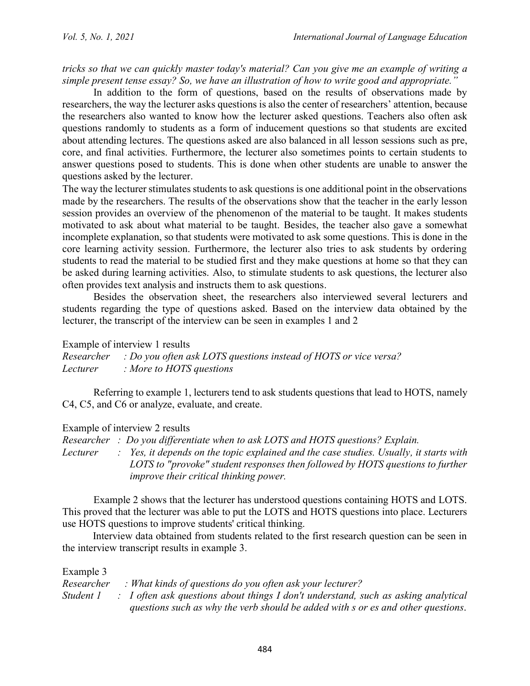*tricks so that we can quickly master today's material? Can you give me an example of writing a simple present tense essay? So, we have an illustration of how to write good and appropriate."* 

In addition to the form of questions, based on the results of observations made by researchers, the way the lecturer asks questions is also the center of researchers' attention, because the researchers also wanted to know how the lecturer asked questions. Teachers also often ask questions randomly to students as a form of inducement questions so that students are excited about attending lectures. The questions asked are also balanced in all lesson sessions such as pre, core, and final activities. Furthermore, the lecturer also sometimes points to certain students to answer questions posed to students. This is done when other students are unable to answer the questions asked by the lecturer.

The way the lecturer stimulates students to ask questions is one additional point in the observations made by the researchers. The results of the observations show that the teacher in the early lesson session provides an overview of the phenomenon of the material to be taught. It makes students motivated to ask about what material to be taught. Besides, the teacher also gave a somewhat incomplete explanation, so that students were motivated to ask some questions. This is done in the core learning activity session. Furthermore, the lecturer also tries to ask students by ordering students to read the material to be studied first and they make questions at home so that they can be asked during learning activities. Also, to stimulate students to ask questions, the lecturer also often provides text analysis and instructs them to ask questions.

Besides the observation sheet, the researchers also interviewed several lecturers and students regarding the type of questions asked. Based on the interview data obtained by the lecturer, the transcript of the interview can be seen in examples 1 and 2

### Example of interview 1 results

*Researcher : Do you often ask LOTS questions instead of HOTS or vice versa? Lecturer : More to HOTS questions*

Referring to example 1, lecturers tend to ask students questions that lead to HOTS, namely C4, C5, and C6 or analyze, evaluate, and create.

#### Example of interview 2 results

*Researcher : Do you differentiate when to ask LOTS and HOTS questions? Explain. Lecturer : Yes, it depends on the topic explained and the case studies. Usually, it starts with LOTS to "provoke" student responses then followed by HOTS questions to further improve their critical thinking power.*

Example 2 shows that the lecturer has understood questions containing HOTS and LOTS. This proved that the lecturer was able to put the LOTS and HOTS questions into place. Lecturers use HOTS questions to improve students' critical thinking.

Interview data obtained from students related to the first research question can be seen in the interview transcript results in example 3.

Example 3

| Researcher | : What kinds of questions do you often ask your lecturer?                                     |
|------------|-----------------------------------------------------------------------------------------------|
| Student 1  | $\therefore$ I often ask questions about things I don't understand, such as asking analytical |
|            | questions such as why the verb should be added with s or es and other questions.              |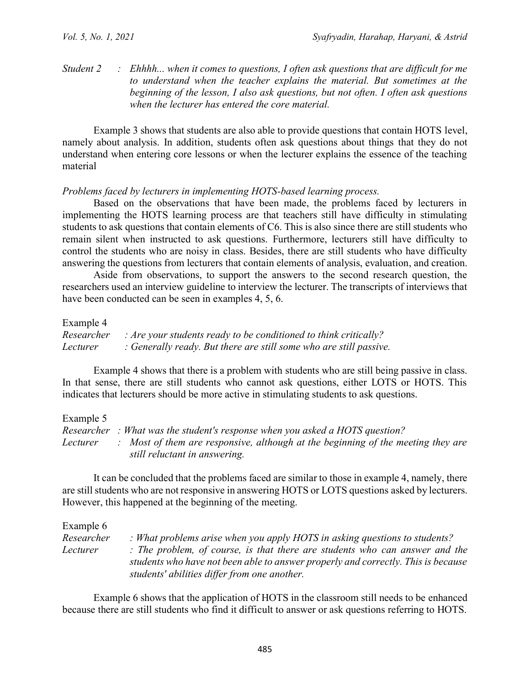### *Student 2 : Ehhhh... when it comes to questions, I often ask questions that are difficult for me to understand when the teacher explains the material. But sometimes at the beginning of the lesson, I also ask questions, but not often. I often ask questions when the lecturer has entered the core material.*

Example 3 shows that students are also able to provide questions that contain HOTS level, namely about analysis. In addition, students often ask questions about things that they do not understand when entering core lessons or when the lecturer explains the essence of the teaching material

#### *Problems faced by lecturers in implementing HOTS-based learning process.*

Based on the observations that have been made, the problems faced by lecturers in implementing the HOTS learning process are that teachers still have difficulty in stimulating students to ask questions that contain elements of C6. This is also since there are still students who remain silent when instructed to ask questions. Furthermore, lecturers still have difficulty to control the students who are noisy in class. Besides, there are still students who have difficulty answering the questions from lecturers that contain elements of analysis, evaluation, and creation.

Aside from observations, to support the answers to the second research question, the researchers used an interview guideline to interview the lecturer. The transcripts of interviews that have been conducted can be seen in examples 4, 5, 6.

Example 4

*Researcher : Are your students ready to be conditioned to think critically? Lecturer : Generally ready. But there are still some who are still passive.*

Example 4 shows that there is a problem with students who are still being passive in class. In that sense, there are still students who cannot ask questions, either LOTS or HOTS. This indicates that lecturers should be more active in stimulating students to ask questions.

Example 5 *Researcher : What was the student's response when you asked a HOTS question? Lecturer : Most of them are responsive, although at the beginning of the meeting they are still reluctant in answering.*

It can be concluded that the problems faced are similar to those in example 4, namely, there are still students who are not responsive in answering HOTS or LOTS questions asked by lecturers. However, this happened at the beginning of the meeting.

Example 6 *Researcher : What problems arise when you apply HOTS in asking questions to students? Lecturer : The problem, of course, is that there are students who can answer and the students who have not been able to answer properly and correctly. This is because students' abilities differ from one another.*

Example 6 shows that the application of HOTS in the classroom still needs to be enhanced because there are still students who find it difficult to answer or ask questions referring to HOTS.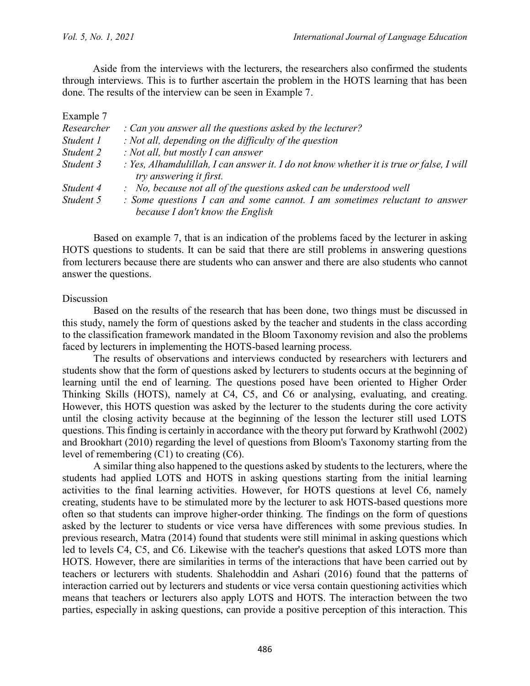Aside from the interviews with the lecturers, the researchers also confirmed the students through interviews. This is to further ascertain the problem in the HOTS learning that has been done. The results of the interview can be seen in Example 7.

| txample |
|---------|
|---------|

| Researcher | : Can you answer all the questions asked by the lecturer?                                                           |
|------------|---------------------------------------------------------------------------------------------------------------------|
| Student 1  | $\therefore$ Not all, depending on the difficulty of the question                                                   |
| Student 2  | : Not all, but mostly I can answer                                                                                  |
| Student 3  | : Yes, Alhamdulillah, I can answer it. I do not know whether it is true or false, I will<br>try answering it first. |
| Student 4  | : No, because not all of the questions asked can be understood well                                                 |
| Student 5  | : Some questions I can and some cannot. I am sometimes reluctant to answer<br>because I don't know the English      |

Based on example 7, that is an indication of the problems faced by the lecturer in asking HOTS questions to students. It can be said that there are still problems in answering questions from lecturers because there are students who can answer and there are also students who cannot answer the questions.

#### Discussion

Based on the results of the research that has been done, two things must be discussed in this study, namely the form of questions asked by the teacher and students in the class according to the classification framework mandated in the Bloom Taxonomy revision and also the problems faced by lecturers in implementing the HOTS-based learning process.

The results of observations and interviews conducted by researchers with lecturers and students show that the form of questions asked by lecturers to students occurs at the beginning of learning until the end of learning. The questions posed have been oriented to Higher Order Thinking Skills (HOTS), namely at C4, C5, and C6 or analysing, evaluating, and creating. However, this HOTS question was asked by the lecturer to the students during the core activity until the closing activity because at the beginning of the lesson the lecturer still used LOTS questions. This finding is certainly in accordance with the theory put forward by Krathwohl (2002) and Brookhart (2010) regarding the level of questions from Bloom's Taxonomy starting from the level of remembering (C1) to creating (C6).

A similar thing also happened to the questions asked by students to the lecturers, where the students had applied LOTS and HOTS in asking questions starting from the initial learning activities to the final learning activities. However, for HOTS questions at level C6, namely creating, students have to be stimulated more by the lecturer to ask HOTS-based questions more often so that students can improve higher-order thinking. The findings on the form of questions asked by the lecturer to students or vice versa have differences with some previous studies. In previous research, Matra (2014) found that students were still minimal in asking questions which led to levels C4, C5, and C6. Likewise with the teacher's questions that asked LOTS more than HOTS. However, there are similarities in terms of the interactions that have been carried out by teachers or lecturers with students. Shalehoddin and Ashari (2016) found that the patterns of interaction carried out by lecturers and students or vice versa contain questioning activities which means that teachers or lecturers also apply LOTS and HOTS. The interaction between the two parties, especially in asking questions, can provide a positive perception of this interaction. This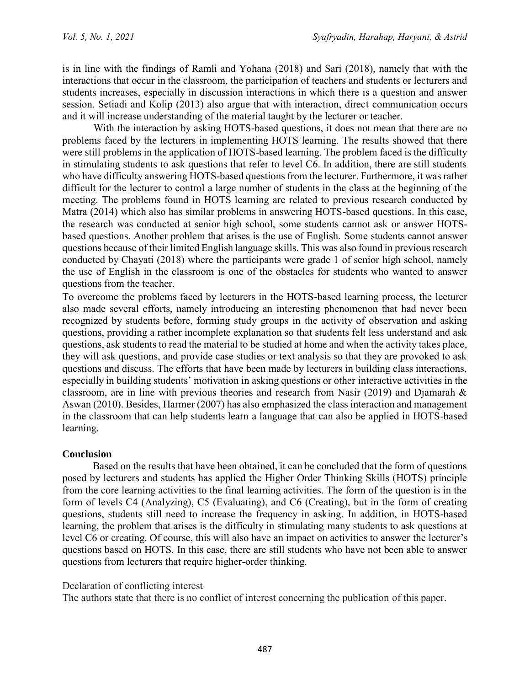is in line with the findings of Ramli and Yohana (2018) and Sari (2018), namely that with the interactions that occur in the classroom, the participation of teachers and students or lecturers and students increases, especially in discussion interactions in which there is a question and answer session. Setiadi and Kolip (2013) also argue that with interaction, direct communication occurs and it will increase understanding of the material taught by the lecturer or teacher.

With the interaction by asking HOTS-based questions, it does not mean that there are no problems faced by the lecturers in implementing HOTS learning. The results showed that there were still problems in the application of HOTS-based learning. The problem faced is the difficulty in stimulating students to ask questions that refer to level C6. In addition, there are still students who have difficulty answering HOTS-based questions from the lecturer. Furthermore, it was rather difficult for the lecturer to control a large number of students in the class at the beginning of the meeting. The problems found in HOTS learning are related to previous research conducted by Matra (2014) which also has similar problems in answering HOTS-based questions. In this case, the research was conducted at senior high school, some students cannot ask or answer HOTSbased questions. Another problem that arises is the use of English. Some students cannot answer questions because of their limited English language skills. This was also found in previous research conducted by Chayati (2018) where the participants were grade 1 of senior high school, namely the use of English in the classroom is one of the obstacles for students who wanted to answer questions from the teacher.

To overcome the problems faced by lecturers in the HOTS-based learning process, the lecturer also made several efforts, namely introducing an interesting phenomenon that had never been recognized by students before, forming study groups in the activity of observation and asking questions, providing a rather incomplete explanation so that students felt less understand and ask questions, ask students to read the material to be studied at home and when the activity takes place, they will ask questions, and provide case studies or text analysis so that they are provoked to ask questions and discuss. The efforts that have been made by lecturers in building class interactions, especially in building students' motivation in asking questions or other interactive activities in the classroom, are in line with previous theories and research from Nasir (2019) and Djamarah & Aswan (2010). Besides, Harmer (2007) has also emphasized the class interaction and management in the classroom that can help students learn a language that can also be applied in HOTS-based learning.

# **Conclusion**

Based on the results that have been obtained, it can be concluded that the form of questions posed by lecturers and students has applied the Higher Order Thinking Skills (HOTS) principle from the core learning activities to the final learning activities. The form of the question is in the form of levels C4 (Analyzing), C5 (Evaluating), and C6 (Creating), but in the form of creating questions, students still need to increase the frequency in asking. In addition, in HOTS-based learning, the problem that arises is the difficulty in stimulating many students to ask questions at level C6 or creating. Of course, this will also have an impact on activities to answer the lecturer's questions based on HOTS. In this case, there are still students who have not been able to answer questions from lecturers that require higher-order thinking.

# Declaration of conflicting interest

The authors state that there is no conflict of interest concerning the publication of this paper.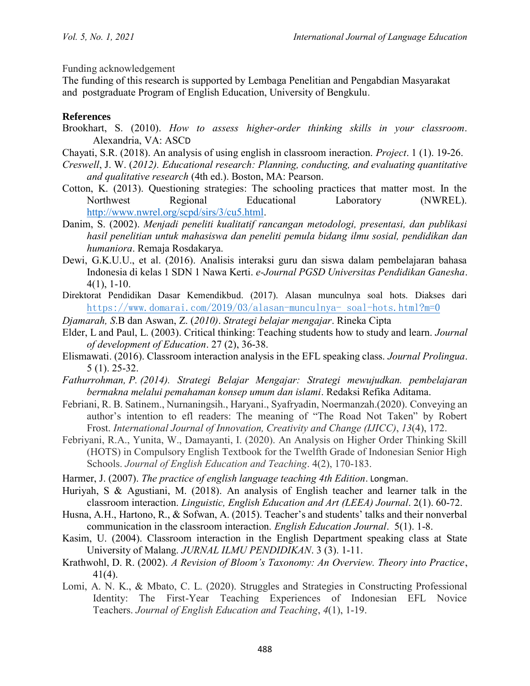Funding acknowledgement

The funding of this research is supported by Lembaga Penelitian and Pengabdian Masyarakat and postgraduate Program of English Education, University of Bengkulu.

### **References**

- Brookhart, S. (2010). *How to assess higher-order thinking skills in your classroom*. Alexandria, VA: ASCD
- Chayati, S.R. (2018). An analysis of using english in classroom ineraction. *Project*. 1 (1). 19-26.
- *Creswell*, J. W. (*2012). Educational research: Planning, conducting, and evaluating quantitative and qualitative research* (4th ed.). Boston, MA: Pearson.
- Cotton, K. (2013). Questioning strategies: The schooling practices that matter most. In the Northwest Regional Educational Laboratory (NWREL). [http://www.nwrel.org/scpd/sirs/3/cu5.html.](http://www.nwrel.org/scpd/sirs/3/cu5.html)
- Danim, S. (2002). *Menjadi peneliti kualitatif rancangan metodologi, presentasi, dan publikasi hasil penelitian untuk mahasiswa dan peneliti pemula bidang ilmu sosial, pendidikan dan humaniora*. Remaja Rosdakarya.
- Dewi, G.K.U.U., et al. (2016). Analisis interaksi guru dan siswa dalam pembelajaran bahasa Indonesia di kelas 1 SDN 1 Nawa Kerti. *e-Journal PGSD Universitas Pendidikan Ganesha*. 4(1), 1-10.
- Direktorat Pendidikan Dasar Kemendikbud. (2017). Alasan munculnya soal hots. Diakses dari [https://www.domarai.com/2019/03/alasan-munculnya-](https://www.domarai.com/2019/03/alasan-munculnya-soal-hots.html?m=0)soal-hots.html?m=0
- *Djamarah, S*.B dan Aswan, Z. (*2010)*. *Strategi belajar mengajar*. Rineka Cipta
- Elder, L and Paul, L. (2003). Critical thinking: Teaching students how to study and learn. *Journal of development of Education*. 27 (2), 36-38.
- Elismawati. (2016). Classroom interaction analysis in the EFL speaking class. *Journal Prolingua*. 5 (1). 25-32.
- *Fathurrohman, P. (2014). Strategi Belajar Mengajar: Strategi mewujudkan. pembelajaran bermakna melalui pemahaman konsep umum dan islami*. Redaksi Refika Aditama.
- Febriani, R. B. Satinem., Nurnaningsih., Haryani., Syafryadin, Noermanzah.(2020). Conveying an author's intention to efl readers: The meaning of "The Road Not Taken" by Robert Frost. *International Journal of Innovation, Creativity and Change (IJICC)*, *13*(4), 172.
- Febriyani, R.A., Yunita, W., Damayanti, I. (2020). An Analysis on Higher Order Thinking Skill (HOTS) in Compulsory English Textbook for the Twelfth Grade of Indonesian Senior High Schools. *Journal of English Education and Teaching*. 4(2), 170-183.
- Harmer, J. (2007). *The practice of english language teaching 4th Edition*. Longman.
- Huriyah, S & Agustiani, M. (2018). An analysis of English teacher and learner talk in the classroom interaction. *Linguistic, English Education and Art (LEEA) Journal*. 2(1). 60-72.
- Husna, A.H., Hartono, R., & Sofwan, A. (2015). Teacher's and students' talks and their nonverbal communication in the classroom interaction. *English Education Journal*. 5(1). 1-8.
- Kasim, U. (2004). Classroom interaction in the English Department speaking class at State University of Malang. *JURNAL ILMU PENDIDIKAN*. 3 (3). 1-11.
- Krathwohl, D. R. (2002). *A Revision of Bloom's Taxonomy: An Overview. Theory into Practice*, 41(4).
- Lomi, A. N. K., & Mbato, C. L. (2020). Struggles and Strategies in Constructing Professional Identity: The First-Year Teaching Experiences of Indonesian EFL Novice Teachers. *Journal of English Education and Teaching*, *4*(1), 1-19.